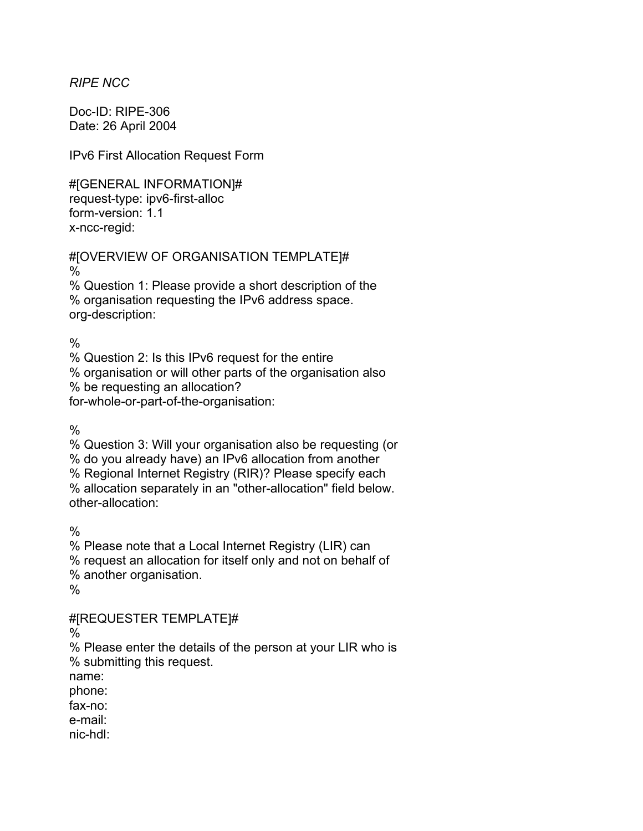*RIPE NCC* 

Doc-ID: RIPE-306 Date: 26 April 2004

IPv6 First Allocation Request Form

#[GENERAL INFORMATION]# request-type: ipv6-first-alloc form-version: 1.1 x-ncc-regid:

#[OVERVIEW OF ORGANISATION TEMPLATE]# % % Question 1: Please provide a short description of the % organisation requesting the IPv6 address space.

org-description:

 $\frac{0}{0}$ 

% Question 2: Is this IPv6 request for the entire % organisation or will other parts of the organisation also

% be requesting an allocation?

for-whole-or-part-of-the-organisation:

 $\frac{0}{6}$ 

% Question 3: Will your organisation also be requesting (or % do you already have) an IPv6 allocation from another % Regional Internet Registry (RIR)? Please specify each % allocation separately in an "other-allocation" field below. other-allocation:

 $\frac{0}{0}$ 

% Please note that a Local Internet Registry (LIR) can % request an allocation for itself only and not on behalf of % another organisation.

%

#[REQUESTER TEMPLATE]#

%

% Please enter the details of the person at your LIR who is % submitting this request.

name:

phone:

fax-no:

e-mail:

nic-hdl: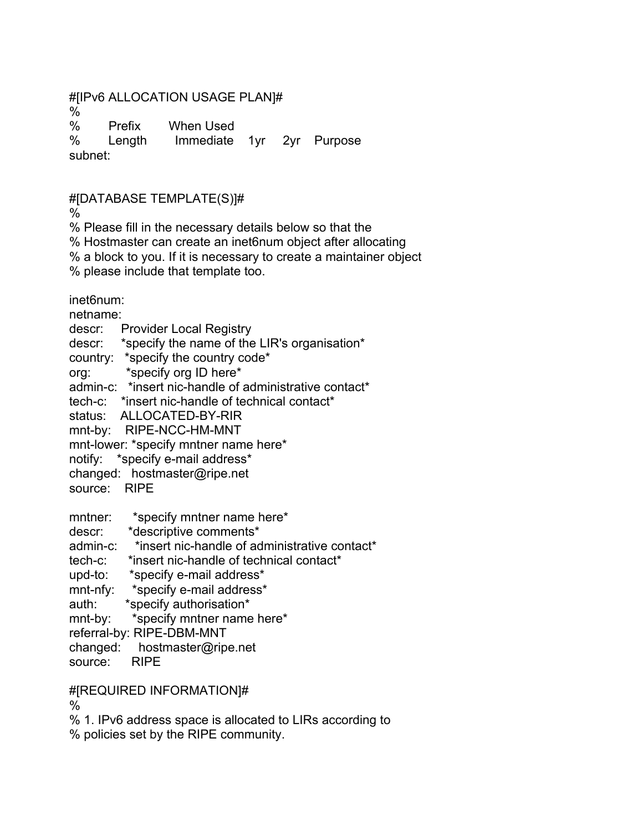## #[IPv6 ALLOCATION USAGE PLAN]#

%

% Prefix When Used

% Length Immediate 1yr 2yr Purpose subnet:

#[DATABASE TEMPLATE(S)]#

%

% Please fill in the necessary details below so that the

% Hostmaster can create an inet6num object after allocating

% a block to you. If it is necessary to create a maintainer object

% please include that template too.

inet6num:

netname:

descr: Provider Local Registry

descr: \*specify the name of the LIR's organisation\*

country: \*specify the country code\*

org: \*specify org ID here\*

admin-c: \*insert nic-handle of administrative contact\*

tech-c: \*insert nic-handle of technical contact\*

status: ALLOCATED-BY-RIR

mnt-by: RIPE-NCC-HM-MNT

mnt-lower: \*specify mntner name here\*

notify: \*specify e-mail address\*

changed: hostmaster@ripe.net

source: RIPE

mntner: \*specify mntner name here\*

descr: \*descriptive comments\*

admin-c: \*insert nic-handle of administrative contact\*

tech-c: \*insert nic-handle of technical contact\*

upd-to: \*specify e-mail address\*

mnt-nfy: \*specify e-mail address\*

auth: \*specify authorisation\*

mnt-by: \*specify mntner name here\*

referral-by: RIPE-DBM-MNT

changed: hostmaster@ripe.net

source: RIPE

## #[REQUIRED INFORMATION]#

%

% 1. IPv6 address space is allocated to LIRs according to

% policies set by the RIPE community.